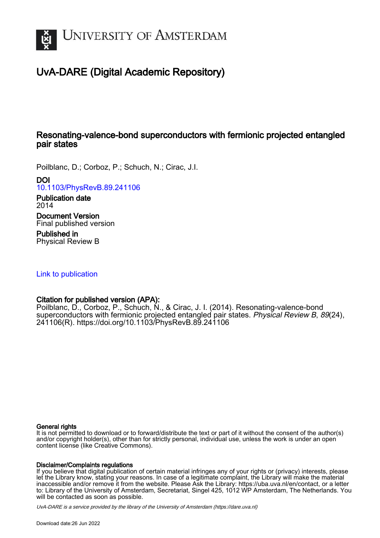

# UvA-DARE (Digital Academic Repository)

## Resonating-valence-bond superconductors with fermionic projected entangled pair states

Poilblanc, D.; Corboz, P.; Schuch, N.; Cirac, J.I.

DOI

[10.1103/PhysRevB.89.241106](https://doi.org/10.1103/PhysRevB.89.241106)

Publication date 2014

Document Version Final published version

Published in Physical Review B

[Link to publication](https://dare.uva.nl/personal/pure/en/publications/resonatingvalencebond-superconductors-with-fermionic-projected-entangled-pair-states(ec4b371a-13cd-436a-9691-14cadc72bb30).html)

### Citation for published version (APA):

Poilblanc, D., Corboz, P., Schuch, N., & Cirac, J. I. (2014). Resonating-valence-bond superconductors with fermionic projected entangled pair states. Physical Review B, 89(24), 241106(R).<https://doi.org/10.1103/PhysRevB.89.241106>

#### General rights

It is not permitted to download or to forward/distribute the text or part of it without the consent of the author(s) and/or copyright holder(s), other than for strictly personal, individual use, unless the work is under an open content license (like Creative Commons).

#### Disclaimer/Complaints regulations

If you believe that digital publication of certain material infringes any of your rights or (privacy) interests, please let the Library know, stating your reasons. In case of a legitimate complaint, the Library will make the material inaccessible and/or remove it from the website. Please Ask the Library: https://uba.uva.nl/en/contact, or a letter to: Library of the University of Amsterdam, Secretariat, Singel 425, 1012 WP Amsterdam, The Netherlands. You will be contacted as soon as possible.

UvA-DARE is a service provided by the library of the University of Amsterdam (http*s*://dare.uva.nl)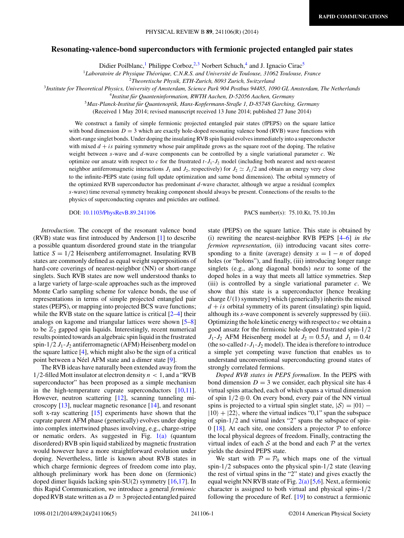#### **Resonating-valence-bond superconductors with fermionic projected entangled pair states**

Didier Poilblanc,<sup>1</sup> Philippe Corboz,<sup>2,3</sup> Norbert Schuch,<sup>4</sup> and J. Ignacio Cirac<sup>5</sup>

<sup>1</sup>Laboratoire de Physique Théorique, C.N.R.S. and Université de Toulouse, 31062 Toulouse, France

<sup>3</sup>*Institute for Theoretical Physics, University of Amsterdam, Science Park 904 Postbus 94485, 1090 GL Amsterdam, The Netherlands*

<sup>4</sup>*Institut fur Quanteninformation, RWTH Aachen, D-52056 Aachen, Germany ¨*

<sup>5</sup>*Max-Planck-Institut fur Quantenoptik, Hans-Kopfermann-Straße 1, D-85748 Garching, Germany ¨*

(Received 1 May 2014; revised manuscript received 13 June 2014; published 27 June 2014)

We construct a family of simple fermionic projected entangled pair states (fPEPS) on the square lattice with bond dimension  $D = 3$  which are exactly hole-doped resonating valence bond (RVB) wave functions with short-range singlet bonds. Under doping the insulating RVB spin liquid evolves immediately into a superconductor with mixed  $d + i$ s pairing symmetry whose pair amplitude grows as the square root of the doping. The relative weight between *s*-wave and *d*-wave components can be controlled by a single variational parameter *c*. We optimize our ansatz with respect to *c* for the frustrated *t*-*J*1-*J*<sup>2</sup> model (including both nearest and next-nearest neighbor antiferromagnetic interactions  $J_1$  and  $J_2$ , respectively) for  $J_2 \simeq J_1/2$  and obtain an energy very close to the infinite-PEPS state (using full update optimization and same bond dimension). The orbital symmetry of the optimized RVB superconductor has predominant *d*-wave character, although we argue a residual (complex *s*-wave) time reversal symmetry breaking component should always be present. Connections of the results to the physics of superconducting cuprates and pnictides are outlined.

DOI: [10.1103/PhysRevB.89.241106](http://dx.doi.org/10.1103/PhysRevB.89.241106) PACS number(s): 75*.*10*.*Kt*,* 75*.*10*.*Jm

*Introduction*. The concept of the resonant valence bond (RVB) state was first introduced by Anderson [\[1\]](#page-4-0) to describe a possible quantum disordered ground state in the triangular lattice  $S = 1/2$  Heisenberg antiferromagnet. Insulating RVB states are commonly defined as equal weight superpositions of hard-core coverings of nearest-neighbor (NN) or short-range singlets. Such RVB states are now well understood thanks to a large variety of large-scale approaches such as the improved Monte Carlo sampling scheme for valence bonds, the use of representations in terms of simple projected entangled pair states (PEPS), or mapping into projected BCS wave functions; while the RVB state on the square lattice is critical  $[2-4]$  their analogs on kagome and triangular lattices were shown [\[5–8\]](#page-4-0) to be  $\mathbb{Z}_2$  gapped spin liquids. Interestingly, recent numerical results pointed towards an algebraic spin liquid in the frustrated spin-1*/*2 *J*1-*J*<sup>2</sup> antiferromagnetic (AFM) Heisenberg model on the square lattice [\[4\]](#page-4-0), which might also be the sign of a critical point between a Néel AFM state and a dimer state [[9\]](#page-4-0).

The RVB ideas have naturally been extended away from the 1*/*2-filled Mott insulator at electron density *n <* 1, and a "RVB superconductor" has been proposed as a simple mechanism in the high-temperature cuprate superconductors [\[10,11\]](#page-4-0). However, neutron scattering [\[12\]](#page-4-0), scanning tunneling microscopy [\[13\]](#page-4-0), nuclear magnetic resonance [\[14\]](#page-4-0), and resonant soft x-ray scattering [\[15\]](#page-4-0) experiments have shown that the cuprate parent AFM phase (generically) evolves under doping into complex intertwined phases involving, e.g., charge-stripe or nematic orders. As suggested in Fig.  $1(a)$  (quantum disordered) RVB spin liquid stabilized by magnetic frustration would however have a more straightforward evolution under doping. Nevertheless, little is known about RVB states in which charge fermionic degrees of freedom come into play, although preliminary work has been done on (fermionic) doped dimer liquids lacking spin-SU(2) symmetry [\[16,17\]](#page-4-0). In this Rapid Communication, we introduce a general *fermionic* doped RVB state written as a  $D = 3$  projected entangled paired state (PEPS) on the square lattice. This state is obtained by (i) rewriting the nearest-neighbor RVB PEPS [\[4–6\]](#page-4-0) *in the fermion representation*, (ii) introducing vacant sites corresponding to a finite (average) density  $x = 1 - n$  of doped holes (or "holons"), and finally, (iii) introducing longer range singlets (e.g., along diagonal bonds) *next* to some of the doped holes in a way that meets all lattice symmetries. Step (iii) is controlled by a single variational parameter *c*. We show that this state is a superconductor [hence breaking charge *U*(1) symmetry] which (generically) inherits the mixed  $d + i s$  orbital symmetry of its parent (insulating) spin liquid, although its *s*-wave component is severely suppressed by (iii). Optimizing the hole kinetic energy with respect to *c* we obtain a good ansatz for the fermionic hole-doped frustrated spin-1*/*2  $J_1$ - $J_2$  AFM Heisenberg model at  $J_2 = 0.5 J_1$  and  $J_1 = 0.4t$ (the so-called  $t - J_1 - J_2$  model). The idea is therefore to introduce a simple yet competing wave function that enables us to understand unconventional superconducting ground states of strongly correlated fermions.

*Doped RVB states in PEPS formalism*. In the PEPS with bond dimension  $D = 3$  we consider, each physical site has 4 virtual spins attached, each of which spans a virtual dimension of spin  $1/2 \oplus 0$ . On every bond, every pair of the NN virtual spins is projected to a virtual spin singlet state,  $|S\rangle=|01\rangle |10\rangle + |22\rangle$ , where the virtual indices "0,1" span the subspace of spin-1*/*2 and virtual index "2" spans the subspace of spin-0 [\[18\]](#page-5-0). At each site, one considers a projector  $P$  to enforce the local physical degrees of freedom. Finally, contracting the virtual index of each  $S$  at the bond and each  $P$  at the vertex yields the desired PEPS state.

We start with  $P = P_0$  which maps one of the virtual spin-1*/*2 subspaces onto the physical spin-1*/*2 state (leaving the rest of virtual spins in the "2" state) and gives exactly the equal weight NN RVB state of Fig.  $2(a)$  [\[5,6\]](#page-4-0). Next, a fermionic character is assigned to both virtual and physical spins-1*/*2 following the procedure of Ref. [\[19\]](#page-5-0) to construct a fermionic

<sup>2</sup>*Theoretische Physik, ETH-Zurich, 8093 Zurich, Switzerland*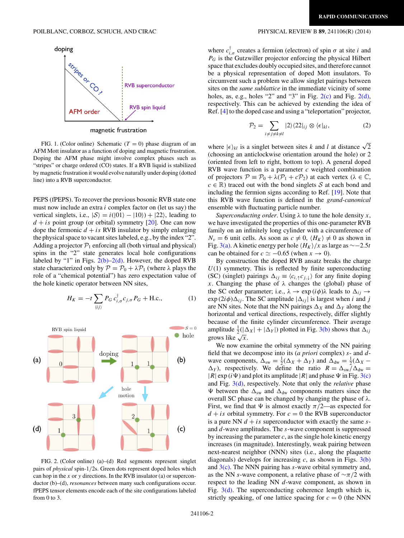<span id="page-2-0"></span>

magnetic frustration

FIG. 1. (Color online) Schematic  $(T = 0)$  phase diagram of an AFM Mott insulator as a function of doping and magnetic frustration. Doping the AFM phase might involve complex phases such as "stripes" or charge ordered (CO) states. If a RVB liquid is stabilized by magnetic frustration it would evolve naturally under doping (dotted line) into a RVB superconductor.

PEPS (fPEPS). To recover the previous bosonic RVB state one must now include an extra *i* complex factor on (let us say) the vertical singlets, i.e.,  $|S\rangle = i(|01\rangle - |10\rangle) + |22\rangle$ , leading to  $d + is$  point group (or orbital) symmetry [\[20\]](#page-5-0). One can now dope the fermonic  $d + is$  RVB insulator by simply enlarging the physical space to vacant sites labeled, e.g., by the index "2". Adding a projector  $P_1$  enforcing all (both virtual and physical) spins in the "2" state generates local hole configurations labeled by "1" in Figs. 2(b)–2(d). However, the doped RVB state characterized only by  $P = P_0 + \lambda P_1$  (where  $\lambda$  plays the role of a "chemical potential") has zero expectation value of the hole kinetic operator between NN sites,

$$
H_K = -t \sum_{\langle ij \rangle} P_G c_{i,\sigma}^\dagger c_{j,\sigma} P_G + \text{H.c.}, \tag{1}
$$



FIG. 2. (Color online) (a)–(d) Red segments represent singlet pairs of *physical* spin-1*/*2s. Green dots represent doped holes which can hop in the *x* or *y* directions. In the RVB insulator (a) or superconductor (b)–(d), *resonances* between many such configurations occur. fPEPS tensor elements encode each of the site configurations labeled from 0 to 3.

where  $c_{i,\sigma}^{\dagger}$  creates a fermion (electron) of spin  $\sigma$  at site *i* and *PG* is the Gutzwiller projector enforcing the physical Hilbert space that excludes doubly occupied sites, and therefore cannot be a physical representation of doped Mott insulators. To circumvent such a problem we allow singlet pairings between sites on the *same sublattice* in the immediate vicinity of some holes, as, e.g., holes "2" and "3" in Fig.  $2(c)$  and Fig.  $2(d)$ , respectively. This can be achieved by extending the idea of Ref. [\[4\]](#page-4-0) to the doped case and using a "teleportation" projector,

$$
\mathcal{P}_2 = \sum_{i \neq j \neq k \neq l} |2\rangle\langle 22|_{ij} \otimes \langle \epsilon |_{kl},
$$
 (2)

where  $|\epsilon\rangle_{kl}$  is a singlet between sites *k* and *l* at distance  $\sqrt{2}$ (choosing an anticlockwise orientation around the hole) or 2 (oriented from left to right, bottom to top). A general doped RVB wave function is a parameter *c* weighted combination of projectors  $\mathcal{P} \equiv \mathcal{P}_0 + \lambda(\mathcal{P}_1 + c\mathcal{P}_2)$  at each vertex ( $\lambda \in \mathbb{C}$ ,  $c \in \mathbb{R}$ ) traced out with the bond singlets S at each bond and including the fermion signs according to Ref. [\[19\]](#page-5-0). Note that this RVB wave function is defined in the *grand-canonical* ensemble with fluctuating particle number.

*Superconducting order*. Using *λ* to tune the hole density *x*, we have investigated the properties of this one-parameter RVB family on an infinitely long cylinder with a circumference of  $N_v = 6$  unit cells. As soon as  $c \neq 0$ ,  $\langle H_K \rangle \neq 0$  as shown in Fig. [3\(a\).](#page-3-0) A kinetic energy per hole  $\langle H_K \rangle /x$  as large as  $\sim$  –2*.5t* can be obtained for  $c \simeq -0.65$  (when  $x \to 0$ ).

By construction the doped RVB ansatz breaks the charge  $U(1)$  symmetry. This is reflected by finite superconducting (SC) (singlet) pairings  $\Delta_{ij} \equiv \langle c_{i,\uparrow} c_{j,\downarrow} \rangle$  for any finite doping *x*. Changing the phase of *λ* changes the (global) phase of the SC order parameter; i.e.,  $\lambda \rightarrow \exp(i\phi)\lambda$  leads to  $\Delta_{ij} \rightarrow$  $\exp(2i\phi)\Delta_{ij}$ . The SC amplitude  $|\Delta_{ij}|$  is largest when *i* and *j* are NN sites. Note that the NN pairings  $\Delta_X$  and  $\Delta_Y$  along the horizontal and vertical directions, respectively, differ slightly because of the finite cylinder circumference. Their average amplitude  $\frac{1}{2}(|\Delta_X|+|\Delta_Y|)$  plotted in Fig. [3\(b\)](#page-3-0) shows that  $\Delta_{ij}$ grows like  $\sqrt{x}$ .

We now examine the orbital symmetry of the NN pairing field that we decompose into its (*a priori* complex) *s*- and *d*wave components,  $\Delta_{sw} = \frac{1}{2} (\Delta_X + \Delta_Y)$  and  $\Delta_{dw} = \frac{1}{2} (\Delta_X \Delta_Y$ ), respectively. We define the ratio  $R = \Delta_{sw}/\Delta_{dw}$  $|R| \exp(i \Psi)$  and plot its amplitude  $|R|$  and phase  $\Psi$  in Fig. [3\(c\)](#page-3-0) and Fig. [3\(d\),](#page-3-0) respectively. Note that only the *relative* phase  $\Psi$  between the  $\Delta_{sw}$  and  $\Delta_{dw}$  components matters since the overall SC phase can be changed by changing the phase of *λ*. First, we find that  $\Psi$  is almost exactly  $\pi/2$ —as expected for  $d + is$  orbital symmetry. For  $c = 0$  the RVB superconductor is a pure NN  $d + is$  superconductor with exactly the same *s*and *d*-wave amplitudes. The *s*-wave component is suppressed by increasing the parameter *c*, as the single hole kinetic energy increases (in magnitude). Interestingly, weak pairing between next-nearest neighbor (NNN) sites (i.e., along the plaquette diagonals) develops for increasing  $c$ , as shown in Figs.  $3(b)$ and [3\(c\).](#page-3-0) The NNN pairing has *s*-wave orbital symmetry and, as the NN *s*-wave component, a relative phase of ∼*π/*2 with respect to the leading NN *d*-wave component, as shown in Fig.  $3(d)$ . The superconducting coherence length which is, strictly speaking, of one lattice spacing for  $c = 0$  (the NNN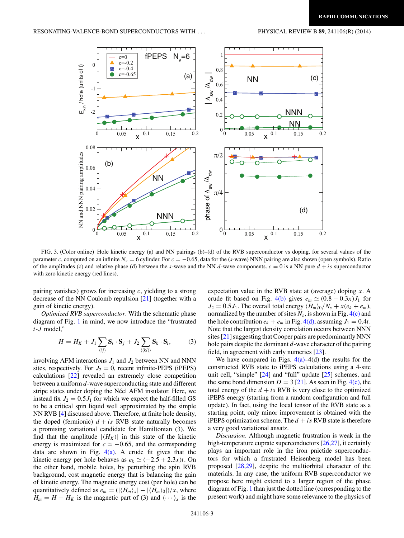<span id="page-3-0"></span>

FIG. 3. (Color online) Hole kinetic energy (a) and NN pairings (b)–(d) of the RVB superconductor vs doping, for several values of the parameter *c*, computed on an infinite  $N_v = 6$  cylinder. For  $c = -0.65$ , data for the (*s*-wave) NNN pairing are also shown (open symbols). Ratio of the amplitudes (c) and relative phase (d) between the *s*-wave and the NN  $d$ -wave components.  $c = 0$  is a NN pure  $d + is$  superconductor with zero kinetic energy (red lines).

pairing vanishes) grows for increasing *c*, yielding to a strong decrease of the NN Coulomb repulsion [\[21\]](#page-5-0) (together with a gain of kinetic energy).

*Optimized RVB superconductor*. With the schematic phase diagram of Fig. [1](#page-2-0) in mind, we now introduce the "frustrated *t*-*J* model,"

$$
H = H_K + J_1 \sum_{\langle ij \rangle} \mathbf{S}_i \cdot \mathbf{S}_j + J_2 \sum_{\langle\langle kl \rangle\rangle} \mathbf{S}_k \cdot \mathbf{S}_l, \tag{3}
$$

involving AFM interactions  $J_1$  and  $J_2$  between NN and NNN sites, respectively. For  $J_2 = 0$ , recent infinite-PEPS (iPEPS) calculations [\[22\]](#page-5-0) revealed an extremely close competition between a uniform *d*-wave superconducting state and different stripe states under doping the Néel AFM insulator. Here, we instead fix  $J_2 = 0.5J_1$  for which we expect the half-filled GS to be a critical spin liquid well approximated by the simple NN RVB [\[4\]](#page-4-0) discussed above. Therefore, at finite hole density, the doped (fermionic)  $d + is$  RVB state naturally becomes a promising variational candidate for Hamiltonian (3). We find that the amplitude  $|\langle H_K \rangle|$  in this state of the kinetic energy is maximized for  $c \approx -0.65$ , and the corresponding data are shown in Fig.  $4(a)$ . A crude fit gives that the kinetic energy per hole behaves as  $e_k \simeq (-2.5 + 2.3x)t$ . On the other hand, mobile holes, by perturbing the spin RVB background, cost magnetic energy that is balancing the gain of kinetic energy. The magnetic energy cost (per hole) can be quantitatively defined as  $e_m = (|\langle H_m \rangle_x| - |\langle H_m \rangle_0|)/x$ , where  $H_m = H - H_K$  is the magnetic part of (3) and  $\langle \cdots \rangle_x$  is the expectation value in the RVB state at (average) doping *x*. A crude fit based on Fig. [4\(b\)](#page-4-0) gives  $e_m \simeq (0.8 - 0.3x)J_1$  for  $J_2 = 0.5 J_1$ . The overall total energy  $\langle H_m \rangle_0 / N_s + x(e_k + e_m)$ , normalized by the number of sites  $N_s$ , is shown in Fig.  $4(c)$  and the hole contribution  $e_k + e_m$  in Fig. [4\(d\),](#page-4-0) assuming  $J_1 = 0.4t$ . Note that the largest density correlation occurs between NNN sites [\[21\]](#page-5-0) suggesting that Cooper pairs are predominantly NNN hole pairs despite the dominant *d*-wave character of the pairing field, in agreement with early numerics [\[23\]](#page-5-0).

We have compared in Figs.  $4(a)$ –4(d) the results for the constructed RVB state to iPEPS calculations using a 4-site unit cell, "simple" [\[24\]](#page-5-0) and "full" update [\[25\]](#page-5-0) schemes, and the same bond dimension  $D = 3$  [\[21\]](#page-5-0). As seen in Fig. [4\(c\),](#page-4-0) the total energy of the  $d + is$  RVB is very close to the optimized iPEPS energy (starting from a random configuration and full update). In fact, using the local tensor of the RVB state as a starting point, only minor improvement is obtained with the iPEPS optimization scheme. The  $d + is$  RVB state is therefore a very good variational ansatz.

*Discussion*. Although magnetic frustration is weak in the high-temperature cuprate superconductors [\[26,27\]](#page-5-0), it certainly plays an important role in the iron pnictide superconductors for which a frustrated Heisenberg model has been proposed [\[28,29\]](#page-5-0), despite the multiorbital character of the materials. In any case, the uniform RVB superconductor we propose here might extend to a larger region of the phase diagram of Fig. [1](#page-2-0) than just the dotted line (corresponding to the present work) and might have some relevance to the physics of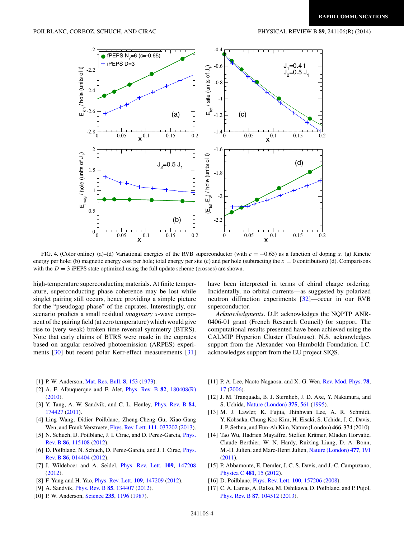<span id="page-4-0"></span>

FIG. 4. (Color online) (a)–(d) Variational energies of the RVB superconductor (with *c* = −0*.*65) as a function of doping *x*. (a) Kinetic energy per hole; (b) magnetic energy cost per hole; total energy per site (c) and per hole (subtracting the  $x = 0$  contribution) (d). Comparisons with the  $D = 3$  iPEPS state optimized using the full update scheme (crosses) are shown.

high-temperature superconducting materials. At finite temperature, superconducting phase coherence may be lost while singlet pairing still occurs, hence providing a simple picture for the "pseudogap phase" of the cuprates. Interestingly, our scenario predicts a small residual *imaginary s*-wave component of the pairing field (at zero temperature) which would give rise to (very weak) broken time reversal symmetry (BTRS). Note that early claims of BTRS were made in the cuprates based on angular resolved photoemission (ARPES) experi-ments [\[30\]](#page-5-0) but recent polar Kerr-effect measurements [\[31\]](#page-5-0) have been interpreted in terms of chiral charge ordering. Incidentally, no orbital currents—as suggested by polarized neutron diffraction experiments [\[32\]](#page-5-0)—occur in our RVB superconductor.

*Acknowledgments*. D.P. acknowledges the NQPTP ANR-0406-01 grant (French Research Council) for support. The computational results presented have been achieved using the CALMIP Hyperion Cluster (Toulouse). N.S. acknowledges support from the Alexander von Humboldt Foundation. I.C. acknowledges support from the EU project SIQS.

- [1] P. W. Anderson, [Mat. Res. Bull.](http://dx.doi.org/10.1016/0025-5408(73)90167-0) **[8](http://dx.doi.org/10.1016/0025-5408(73)90167-0)**, [153](http://dx.doi.org/10.1016/0025-5408(73)90167-0) [\(1973\)](http://dx.doi.org/10.1016/0025-5408(73)90167-0).
- [2] A. F. Albuquerque and F. Alet, [Phys. Rev. B](http://dx.doi.org/10.1103/PhysRevB.82.180408) **[82](http://dx.doi.org/10.1103/PhysRevB.82.180408)**, [180408\(R\)](http://dx.doi.org/10.1103/PhysRevB.82.180408) [\(2010\)](http://dx.doi.org/10.1103/PhysRevB.82.180408).
- [3] Y. Tang, A. W. Sandvik, and C. L. Henley, [Phys. Rev. B](http://dx.doi.org/10.1103/PhysRevB.84.174427) **[84](http://dx.doi.org/10.1103/PhysRevB.84.174427)**, [174427](http://dx.doi.org/10.1103/PhysRevB.84.174427) [\(2011\)](http://dx.doi.org/10.1103/PhysRevB.84.174427).
- [4] Ling Wang, Didier Poilblanc, Zheng-Cheng Gu, Xiao-Gang Wen, and Frank Verstraete, [Phys. Rev. Lett.](http://dx.doi.org/10.1103/PhysRevLett.111.037202) **[111](http://dx.doi.org/10.1103/PhysRevLett.111.037202)**, [037202](http://dx.doi.org/10.1103/PhysRevLett.111.037202) [\(2013\)](http://dx.doi.org/10.1103/PhysRevLett.111.037202).
- [5] [N. Schuch, D. Poilblanc, J. I. Cirac, and D. Perez-Garcia,](http://dx.doi.org/10.1103/PhysRevB.86.115108) *Phys.* Rev. B **[86](http://dx.doi.org/10.1103/PhysRevB.86.115108)**, [115108](http://dx.doi.org/10.1103/PhysRevB.86.115108) [\(2012\)](http://dx.doi.org/10.1103/PhysRevB.86.115108).
- [6] [D. Poilblanc, N. Schuch, D. Perez-Garcia, and J. I. Cirac,](http://dx.doi.org/10.1103/PhysRevB.86.014404) *Phys.* Rev. B **[86](http://dx.doi.org/10.1103/PhysRevB.86.014404)**, [014404](http://dx.doi.org/10.1103/PhysRevB.86.014404) [\(2012\)](http://dx.doi.org/10.1103/PhysRevB.86.014404).
- [7] J. Wildeboer and A. Seidel, [Phys. Rev. Lett.](http://dx.doi.org/10.1103/PhysRevLett.109.147208) **[109](http://dx.doi.org/10.1103/PhysRevLett.109.147208)**, [147208](http://dx.doi.org/10.1103/PhysRevLett.109.147208) [\(2012\)](http://dx.doi.org/10.1103/PhysRevLett.109.147208).
- [8] F. Yang and H. Yao, [Phys. Rev. Lett.](http://dx.doi.org/10.1103/PhysRevLett.109.147209) **[109](http://dx.doi.org/10.1103/PhysRevLett.109.147209)**, [147209](http://dx.doi.org/10.1103/PhysRevLett.109.147209) [\(2012\)](http://dx.doi.org/10.1103/PhysRevLett.109.147209).
- [9] A. Sandvik, [Phys. Rev. B](http://dx.doi.org/10.1103/PhysRevB.85.134407) **[85](http://dx.doi.org/10.1103/PhysRevB.85.134407)**, [134407](http://dx.doi.org/10.1103/PhysRevB.85.134407) [\(2012\)](http://dx.doi.org/10.1103/PhysRevB.85.134407).
- [10] P. W. Anderson, [Science](http://dx.doi.org/10.1126/science.235.4793.1196) **[235](http://dx.doi.org/10.1126/science.235.4793.1196)**, [1196](http://dx.doi.org/10.1126/science.235.4793.1196) [\(1987\)](http://dx.doi.org/10.1126/science.235.4793.1196).
- [11] P. A. Lee, Naoto Nagaosa, and X.-G. Wen, [Rev. Mod. Phys.](http://dx.doi.org/10.1103/RevModPhys.78.17) **[78](http://dx.doi.org/10.1103/RevModPhys.78.17)**, [17](http://dx.doi.org/10.1103/RevModPhys.78.17) [\(2006\)](http://dx.doi.org/10.1103/RevModPhys.78.17).
- [12] J. M. Tranquada, B. J. Sternlieb, J. D. Axe, Y. Nakamura, and S. Uchida, [Nature \(London\)](http://dx.doi.org/10.1038/375561a0) **[375](http://dx.doi.org/10.1038/375561a0)**, [561](http://dx.doi.org/10.1038/375561a0) [\(1995\)](http://dx.doi.org/10.1038/375561a0).
- [13] M. J. Lawler, K. Fujita, Jhinhwan Lee, A. R. Schmidt, Y. Kohsaka, Chung Koo Kim, H. Eisaki, S. Uchida, J. C. Davis, J. P. Sethna, and Eun-Ah Kim, Nature (London) **466**, 374 (2010).
- [14] Tao Wu, Hadrien Mayaffre, Steffen Krämer, Mladen Horvatic, Claude Berthier, W. N. Hardy, Ruixing Liang, D. A. Bonn, M.-H. Julien, and Marc-Henri Julien, [Nature \(London\)](http://dx.doi.org/10.1038/nature10345) **[477](http://dx.doi.org/10.1038/nature10345)**, [191](http://dx.doi.org/10.1038/nature10345) [\(2011\)](http://dx.doi.org/10.1038/nature10345).
- [15] P. Abbamonte, E. Demler, J. C. S. Davis, and J.-C. Campuzano, [Physica C](http://dx.doi.org/10.1016/j.physc.2012.04.006) **[481](http://dx.doi.org/10.1016/j.physc.2012.04.006)**, [15](http://dx.doi.org/10.1016/j.physc.2012.04.006) [\(2012\)](http://dx.doi.org/10.1016/j.physc.2012.04.006).
- [16] D. Poilblanc, [Phys. Rev. Lett.](http://dx.doi.org/10.1103/PhysRevLett.100.157206) **[100](http://dx.doi.org/10.1103/PhysRevLett.100.157206)**, [157206](http://dx.doi.org/10.1103/PhysRevLett.100.157206) [\(2008\)](http://dx.doi.org/10.1103/PhysRevLett.100.157206).
- [17] C. A. Lamas, A. Ralko, M. Oshikawa, D. Poilblanc, and P. Pujol, [Phys. Rev. B](http://dx.doi.org/10.1103/PhysRevB.87.104512) **[87](http://dx.doi.org/10.1103/PhysRevB.87.104512)**, [104512](http://dx.doi.org/10.1103/PhysRevB.87.104512) [\(2013\)](http://dx.doi.org/10.1103/PhysRevB.87.104512).